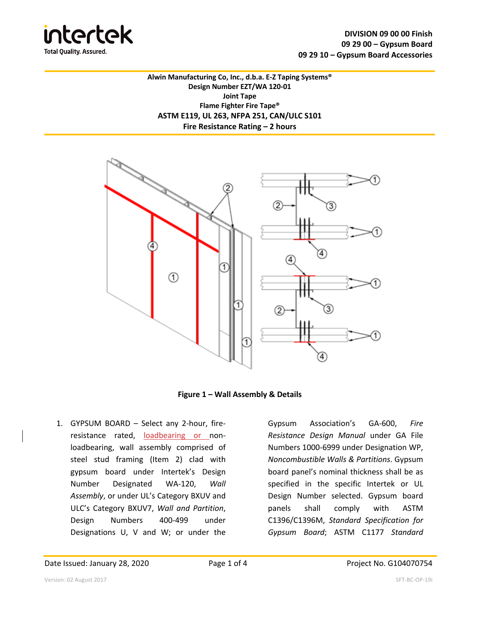

**Alwin Manufacturing Co, Inc., d.b.a. E-Z Taping Systems® Design Number EZT/WA 120-01 Joint Tape Flame Fighter Fire Tape® ASTM E119, UL 263, NFPA 251, CAN/ULC S101 Fire Resistance Rating – 2 hours**



**Figure 1 – Wall Assembly & Details**

1. GYPSUM BOARD – Select any 2-hour, fireresistance rated, loadbearing or nonloadbearing, wall assembly comprised of steel stud framing (Item 2) clad with gypsum board under Intertek's Design Number Designated WA-120, *Wall Assembly*, or under UL's Category BXUV and ULC's Category BXUV7, *Wall and Partition*, Design Numbers 400-499 under Designations U, V and W; or under the

Gypsum Association's GA-600, *Fire Resistance Design Manual* under GA File Numbers 1000-6999 under Designation WP, *Noncombustible Walls & Partitions*. Gypsum board panel's nominal thickness shall be as specified in the specific Intertek or UL Design Number selected. Gypsum board panels shall comply with ASTM C1396/C1396M, *Standard Specification for Gypsum Board*; ASTM C1177 *Standard*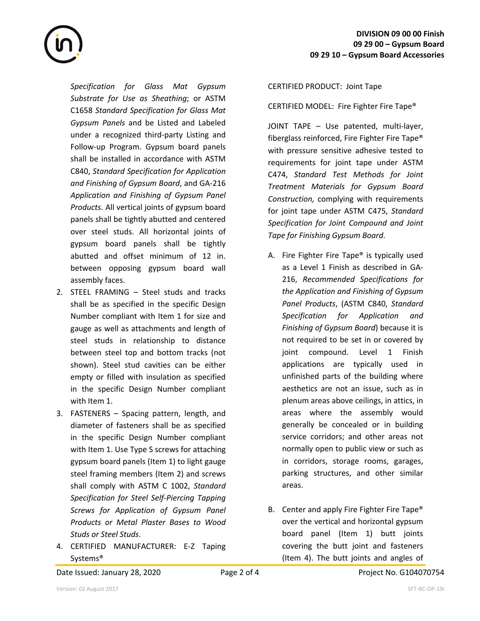*Specification for Glass Mat Gypsum Substrate for Use as Sheathing*; or ASTM C1658 *Standard Specification for Glass Mat Gypsum Panels* and be Listed and Labeled under a recognized third-party Listing and Follow-up Program. Gypsum board panels shall be installed in accordance with ASTM C840, *Standard Specification for Application and Finishing of Gypsum Board*, and GA-216 *Application and Finishing of Gypsum Panel Products*. All vertical joints of gypsum board panels shall be tightly abutted and centered over steel studs. All horizontal joints of gypsum board panels shall be tightly abutted and offset minimum of 12 in. between opposing gypsum board wall assembly faces.

- 2. STEEL FRAMING Steel studs and tracks shall be as specified in the specific Design Number compliant with Item 1 for size and gauge as well as attachments and length of steel studs in relationship to distance between steel top and bottom tracks (not shown). Steel stud cavities can be either empty or filled with insulation as specified in the specific Design Number compliant with Item 1.
- 3. FASTENERS Spacing pattern, length, and diameter of fasteners shall be as specified in the specific Design Number compliant with Item 1. Use Type S screws for attaching gypsum board panels (Item 1) to light gauge steel framing members (Item 2) and screws shall comply with ASTM C 1002, *Standard Specification for Steel Self-Piercing Tapping Screws for Application of Gypsum Panel Products or Metal Plaster Bases to Wood Studs or Steel Studs*.
- 4. CERTIFIED MANUFACTURER: E-Z Taping Systems®

## CERTIFIED PRODUCT: Joint Tape

CERTIFIED MODEL: Fire Fighter Fire Tape®

JOINT TAPE – Use patented, multi-layer, fiberglass reinforced, Fire Fighter Fire Tape® with pressure sensitive adhesive tested to requirements for joint tape under ASTM C474, *Standard Test Methods for Joint Treatment Materials for Gypsum Board Construction,* complying with requirements for joint tape under ASTM C475, *Standard Specification for Joint Compound and Joint Tape for Finishing Gypsum Board*.

- A. Fire Fighter Fire Tape® is typically used as a Level 1 Finish as described in GA-216, *Recommended Specifications for the Application and Finishing of Gypsum Panel Products*, (ASTM C840, *Standard Specification for Application and Finishing of Gypsum Board*) because it is not required to be set in or covered by joint compound. Level 1 Finish applications are typically used in unfinished parts of the building where aesthetics are not an issue, such as in plenum areas above ceilings, in attics, in areas where the assembly would generally be concealed or in building service corridors; and other areas not normally open to public view or such as in corridors, storage rooms, garages, parking structures, and other similar areas.
- B. Center and apply Fire Fighter Fire Tape® over the vertical and horizontal gypsum board panel (Item 1) butt joints covering the butt joint and fasteners (Item 4). The butt joints and angles of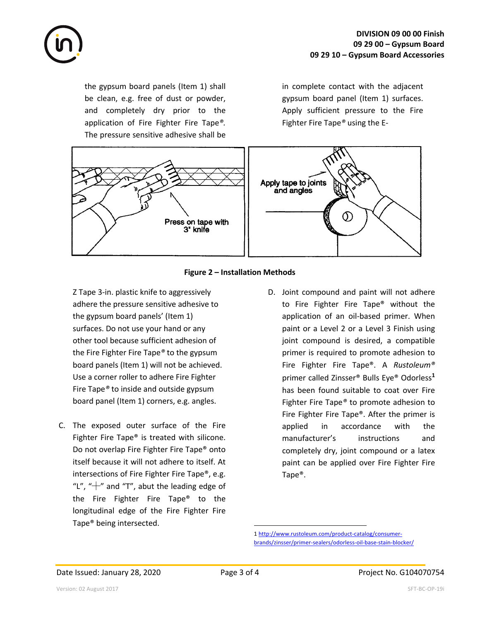

the gypsum board panels (Item 1) shall be clean, e.g. free of dust or powder, and completely dry prior to the application of Fire Fighter Fire Tape*®.* The pressure sensitive adhesive shall be

in complete contact with the adjacent gypsum board panel (Item 1) surfaces. Apply sufficient pressure to the Fire Fighter Fire Tape*®* using the E-



## **Figure 2 – Installation Methods**

Z Tape 3-in. plastic knife to aggressively adhere the pressure sensitive adhesive to the gypsum board panels' (Item 1) surfaces. Do not use your hand or any other tool because sufficient adhesion of the Fire Fighter Fire Tape*®* to the gypsum board panels (Item 1) will not be achieved. Use a corner roller to adhere Fire Fighter Fire Tape*®* to inside and outside gypsum board panel (Item 1) corners, e.g. angles.

- C. The exposed outer surface of the Fire Fighter Fire Tape® is treated with silicone. Do not overlap Fire Fighter Fire Tape® onto itself because it will not adhere to itself. At intersections of Fire Fighter Fire Tape®, e.g. "L", " $+$ " and "T", abut the leading edge of the Fire Fighter Fire Tape® to the longitudinal edge of the Fire Fighter Fire Tape® being intersected.
- D. Joint compound and paint will not adhere to Fire Fighter Fire Tape® without the application of an oil-based primer. When paint or a Level 2 or a Level 3 Finish using joint compound is desired, a compatible primer is required to promote adhesion to Fire Fighter Fire Tape®. A *Rustoleum®*  primer called Zinsser® Bulls Eye® Odorless**<sup>1</sup>** has been found suitable to coat over Fire Fighter Fire Tape*®* to promote adhesion to Fire Fighter Fire Tape®. After the primer is applied in accordance with the manufacturer's instructions and completely dry, joint compound or a latex paint can be applied over Fire Fighter Fire Tape®.

<sup>1</sup> http://www.rustoleum.com/product-catalog/consumerbrands/zinsser/primer-sealers/odorless-oil-base-stain-blocker/